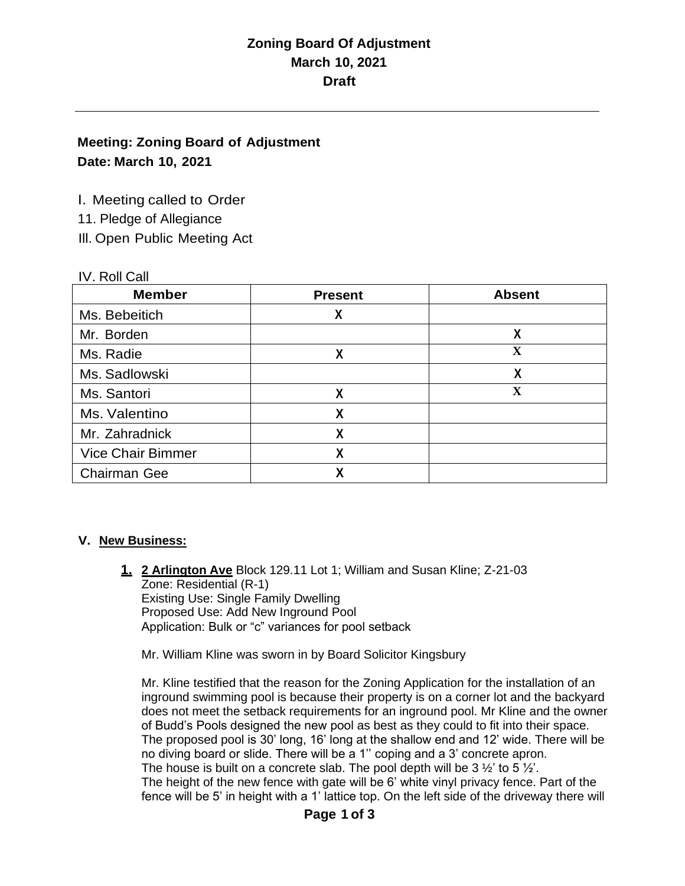### **Meeting: Zoning Board of Adjustment Date: March 10, 2021**

I. Meeting called to Order

11. Pledge of Allegiance

Ill. Open Public Meeting Act

#### IV. Roll Call

| <b>Member</b>            | <b>Present</b> | <b>Absent</b> |
|--------------------------|----------------|---------------|
| Ms. Bebeitich            | χ              |               |
| Mr. Borden               |                | χ             |
| Ms. Radie                | χ              | $\mathbf X$   |
| Ms. Sadlowski            |                | X             |
| Ms. Santori              | χ              | X             |
| Ms. Valentino            | χ              |               |
| Mr. Zahradnick           | χ              |               |
| <b>Vice Chair Bimmer</b> | χ              |               |
| <b>Chairman Gee</b>      | χ              |               |

#### **V. New Business:**

**1. 2 Arlington Ave** Block 129.11 Lot 1; William and Susan Kline; Z-21-03 Zone: Residential (R-1) Existing Use: Single Family Dwelling Proposed Use: Add New Inground Pool Application: Bulk or "c" variances for pool setback

Mr. William Kline was sworn in by Board Solicitor Kingsbury

Mr. Kline testified that the reason for the Zoning Application for the installation of an inground swimming pool is because their property is on a corner lot and the backyard does not meet the setback requirements for an inground pool. Mr Kline and the owner of Budd's Pools designed the new pool as best as they could to fit into their space. The proposed pool is 30' long, 16' long at the shallow end and 12' wide. There will be no diving board or slide. There will be a 1'' coping and a 3' concrete apron. The house is built on a concrete slab. The pool depth will be  $3\frac{1}{2}$  to  $5\frac{1}{2}$ . The height of the new fence with gate will be 6' white vinyl privacy fence. Part of the fence will be 5' in height with a 1' lattice top. On the left side of the driveway there will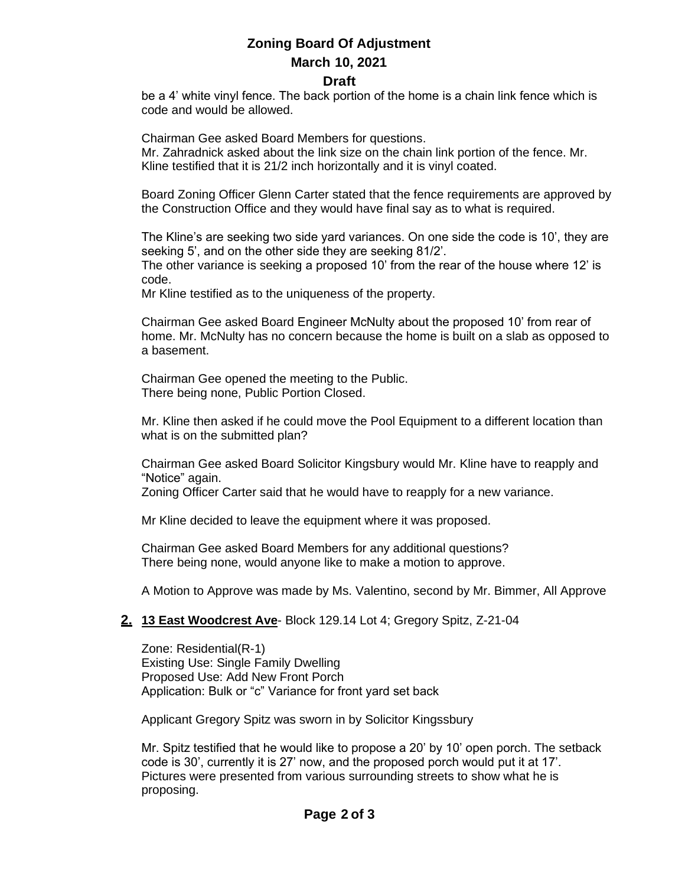# **Zoning Board Of Adjustment March 10, 2021**

#### **Draft**

be a 4' white vinyl fence. The back portion of the home is a chain link fence which is code and would be allowed.

Chairman Gee asked Board Members for questions.

Mr. Zahradnick asked about the link size on the chain link portion of the fence. Mr. Kline testified that it is 21/2 inch horizontally and it is vinyl coated.

Board Zoning Officer Glenn Carter stated that the fence requirements are approved by the Construction Office and they would have final say as to what is required.

The Kline's are seeking two side yard variances. On one side the code is 10', they are seeking 5', and on the other side they are seeking 81/2'. The other variance is seeking a proposed 10' from the rear of the house where 12' is

code.

Mr Kline testified as to the uniqueness of the property.

Chairman Gee asked Board Engineer McNulty about the proposed 10' from rear of home. Mr. McNulty has no concern because the home is built on a slab as opposed to a basement.

Chairman Gee opened the meeting to the Public. There being none, Public Portion Closed.

Mr. Kline then asked if he could move the Pool Equipment to a different location than what is on the submitted plan?

Chairman Gee asked Board Solicitor Kingsbury would Mr. Kline have to reapply and "Notice" again.

Zoning Officer Carter said that he would have to reapply for a new variance.

Mr Kline decided to leave the equipment where it was proposed.

Chairman Gee asked Board Members for any additional questions? There being none, would anyone like to make a motion to approve.

A Motion to Approve was made by Ms. Valentino, second by Mr. Bimmer, All Approve

#### **2. 13 East Woodcrest Ave**- Block 129.14 Lot 4; Gregory Spitz, Z-21-04

Zone: Residential(R-1) Existing Use: Single Family Dwelling Proposed Use: Add New Front Porch Application: Bulk or "c" Variance for front yard set back

Applicant Gregory Spitz was sworn in by Solicitor Kingssbury

Mr. Spitz testified that he would like to propose a 20' by 10' open porch. The setback code is 30', currently it is 27' now, and the proposed porch would put it at 17'. Pictures were presented from various surrounding streets to show what he is proposing.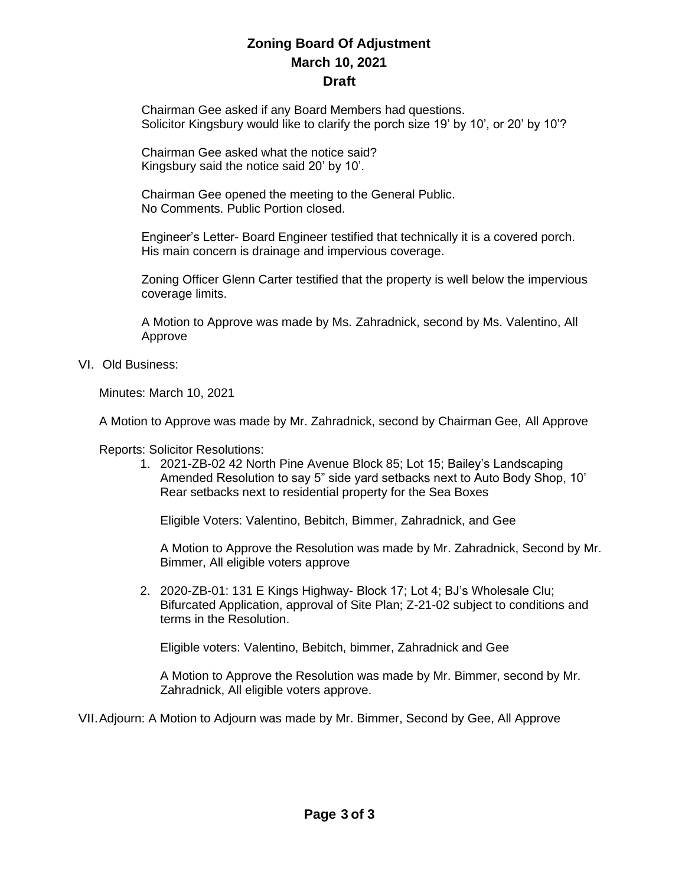Chairman Gee asked if any Board Members had questions. Solicitor Kingsbury would like to clarify the porch size 19' by 10', or 20' by 10'?

Chairman Gee asked what the notice said? Kingsbury said the notice said 20' by 10'.

Chairman Gee opened the meeting to the General Public. No Comments. Public Portion closed.

Engineer's Letter- Board Engineer testified that technically it is a covered porch. His main concern is drainage and impervious coverage.

Zoning Officer Glenn Carter testified that the property is well below the impervious coverage limits.

A Motion to Approve was made by Ms. Zahradnick, second by Ms. Valentino, All Approve

VI. Old Business:

Minutes: March 10, 2021

A Motion to Approve was made by Mr. Zahradnick, second by Chairman Gee, All Approve

Reports: Solicitor Resolutions:

1. 2021-ZB-02 42 North Pine Avenue Block 85; Lot 15; Bailey's Landscaping Amended Resolution to say 5" side yard setbacks next to Auto Body Shop, 10' Rear setbacks next to residential property for the Sea Boxes

Eligible Voters: Valentino, Bebitch, Bimmer, Zahradnick, and Gee

A Motion to Approve the Resolution was made by Mr. Zahradnick, Second by Mr. Bimmer, All eligible voters approve

2. 2020-ZB-01: 131 E Kings Highway- Block 17; Lot 4; BJ's Wholesale Clu; Bifurcated Application, approval of Site Plan; Z-21-02 subject to conditions and terms in the Resolution.

Eligible voters: Valentino, Bebitch, bimmer, Zahradnick and Gee

A Motion to Approve the Resolution was made by Mr. Bimmer, second by Mr. Zahradnick, All eligible voters approve.

VII.Adjourn: A Motion to Adjourn was made by Mr. Bimmer, Second by Gee, All Approve